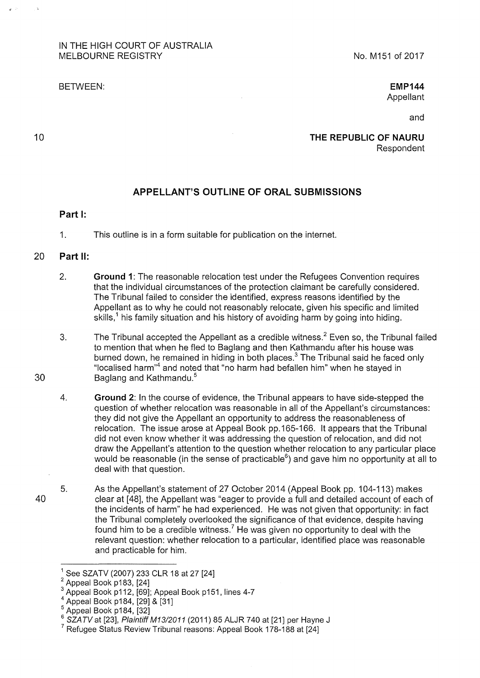## IN THE HIGH COURT OF AUSTRALIA MELBOURNE REGISTRY

BETWEEN:

**EMP144**  Appellant

and

**THE REPUBLIC OF NAURU**  Respondent

## **APPELLANT'S OUTLINE OF ORAL SUBMISSIONS**

## **Part 1:**

1. This outline is in a form suitable for publication on the internet.

## 20 **Part 11:**

30

10

- 2. **Ground 1:** The reasonable relocation test under the Refugees Convention requires that the individual circumstances of the protection claimant be carefully considered. The Tribunal failed to consider the identified, express reasons identified by the Appellant as to why he could not reasonably relocate, given his specific and limited skills,<sup>1</sup> his family situation and his history of avoiding harm by going into hiding.
- 3. The Tribunal accepted the Appellant as a credible witness.<sup>2</sup> Even so, the Tribunal failed to mention that when he fled to Baglang and then Kathmandu after his house was burned down, he remained in hiding in both places.<sup>3</sup> The Tribunal said he faced only "localised harm"4 and noted that "no harm had befallen him" when he stayed in Baglang and Kathmandu.<sup>5</sup>
- 4. **Ground 2:** In the course of evidence, the Tribunal appears to have side-stepped the question of whether relocation was reasonable in all of the Appellant's circumstances: they did not give the Appellant an opportunity to address the reasonableness of relocation. The issue arose at Appeal Book pp.165-166. lt appears that the Tribunal did not even know whether it was addressing the question of relocation, and did not draw the Appellant's attention to the question whether relocation to any particular place would be reasonable (in the sense of practicable $^6$ ) and gave him no opportunity at all to deal with that question.
- 40 5. As the Appellant's statement of 27 October 2014 (Appeal Book pp. 104-113) makes clear at [48], the Appellant was "eager to provide a full and detailed account of each of the incidents of harm" he had experienced. He was not given that opportunity: in fact the Tribunal completely overlooked the significance of that evidence, despite having found him to be a credible witness.<sup>7</sup> He was given no opportunity to deal with the relevant question: whether relocation to a particular, identified place was reasonable and practicable for him.

<sup>&</sup>lt;sup>1</sup> See SZATV (2007) 233 CLR 18 at 27 [24]<br><sup>2</sup> Appeal Book p183, [24]

 $^3$  Appeal Book p112, [69]; Appeal Book p151, lines 4-7<br> $^4$  Appeal Book p184, [29] & [31]

 $<sup>5</sup>$  Appeal Book p184, [32]</sup>

 $6$  SZATV at [23], Plaintiff M13/2011 (2011) 85 ALJR 740 at [21] per Hayne J

 $7$  Refugee Status Review Tribunal reasons: Appeal Book 178-188 at [24]